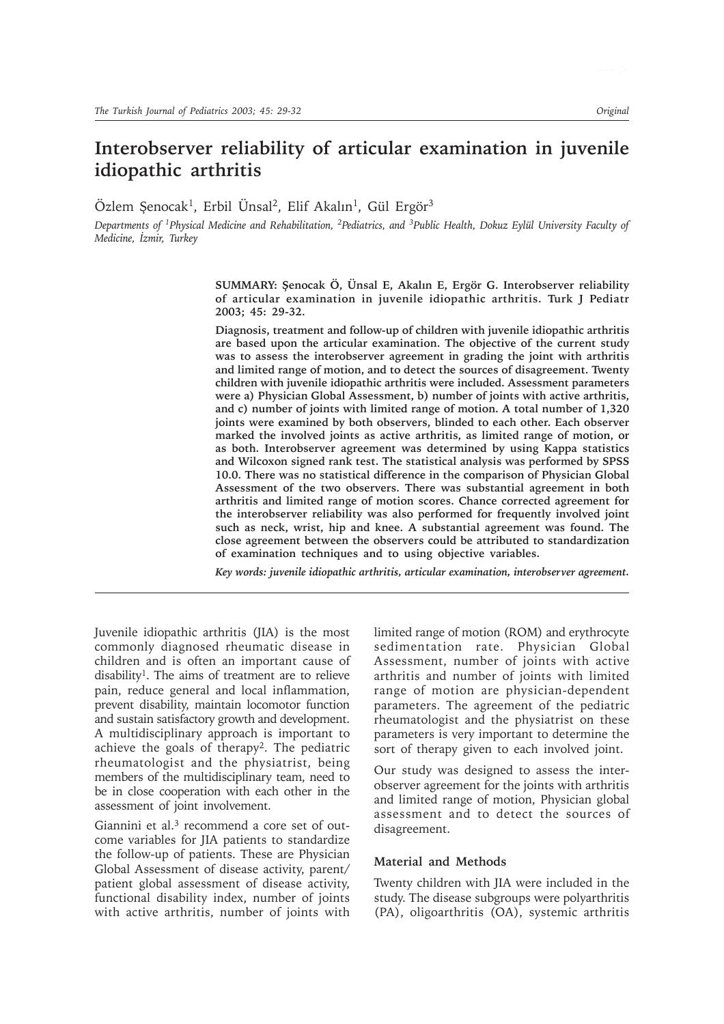# **Interobserver reliability of articular examination in juvenile idiopathic arthritis**

Özlem Senocak<sup>1</sup>, Erbil Ünsal<sup>2</sup>, Elif Akalın<sup>1</sup>, Gül Ergör<sup>3</sup>

*Departments of 1Physical Medicine and Rehabilitation, 2Pediatrics, and 3Public Health, Dokuz Eylül University Faculty of Medicine, İzmir, Turkey* 

> SUMMARY: Şenocak Ö, Ünsal E, Akalın E, Ergör G. Interobserver reliability **of articular examination in juvenile idiopathic arthritis. Turk J Pediatr 2003; 45: 29-32.**

> **Diagnosis, treatment and follow-up of children with juvenile idiopathic arthritis are based upon the articular examination. The objective of the current study was to assess the interobserver agreement in grading the joint with arthritis and limited range of motion, and to detect the sources of disagreement. Twenty children with juvenile idiopathic arthritis were included. Assessment parameters were a) Physician Global Assessment, b) number of joints with active arthritis, and c) number of joints with limited range of motion. A total number of 1,320 joints were examined by both observers, blinded to each other. Each observer marked the involved joints as active arthritis, as limited range of motion, or as both. Interobserver agreement was determined by using Kappa statistics and Wilcoxon signed rank test. The statistical analysis was performed by SPSS 10.0. There was no statistical difference in the comparison of Physician Global Assessment of the two observers. There was substantial agreement in both arthritis and limited range of motion scores. Chance corrected agreement for the interobserver reliability was also performed for frequently involved joint such as neck, wrist, hip and knee. A substantial agreement was found. The close agreement between the observers could be attributed to standardization of examination techniques and to using objective variables.**

> *Key words: juvenile idiopathic arthritis, articular examination, interobserver agreement.*

Juvenile idiopathic arthritis (JIA) is the most commonly diagnosed rheumatic disease in children and is often an important cause of disability1. The aims of treatment are to relieve pain, reduce general and local inflammation, prevent disability, maintain locomotor function and sustain satisfactory growth and development. A multidisciplinary approach is important to achieve the goals of therapy2. The pediatric rheumatologist and the physiatrist, being members of the multidisciplinary team, need to be in close cooperation with each other in the assessment of joint involvement.

Giannini et al.<sup>3</sup> recommend a core set of outcome variables for JIA patients to standardize the follow-up of patients. These are Physician Global Assessment of disease activity, parent/ patient global assessment of disease activity, functional disability index, number of joints with active arthritis, number of joints with limited range of motion (ROM) and erythrocyte sedimentation rate. Physician Global Assessment, number of joints with active arthritis and number of joints with limited range of motion are physician-dependent parameters. The agreement of the pediatric rheumatologist and the physiatrist on these parameters is very important to determine the sort of therapy given to each involved joint.

Our study was designed to assess the interobserver agreement for the joints with arthritis and limited range of motion, Physician global assessment and to detect the sources of disagreement.

## **Material and Methods**

Twenty children with JIA were included in the study. The disease subgroups were polyarthritis (PA), oligoarthritis (OA), systemic arthritis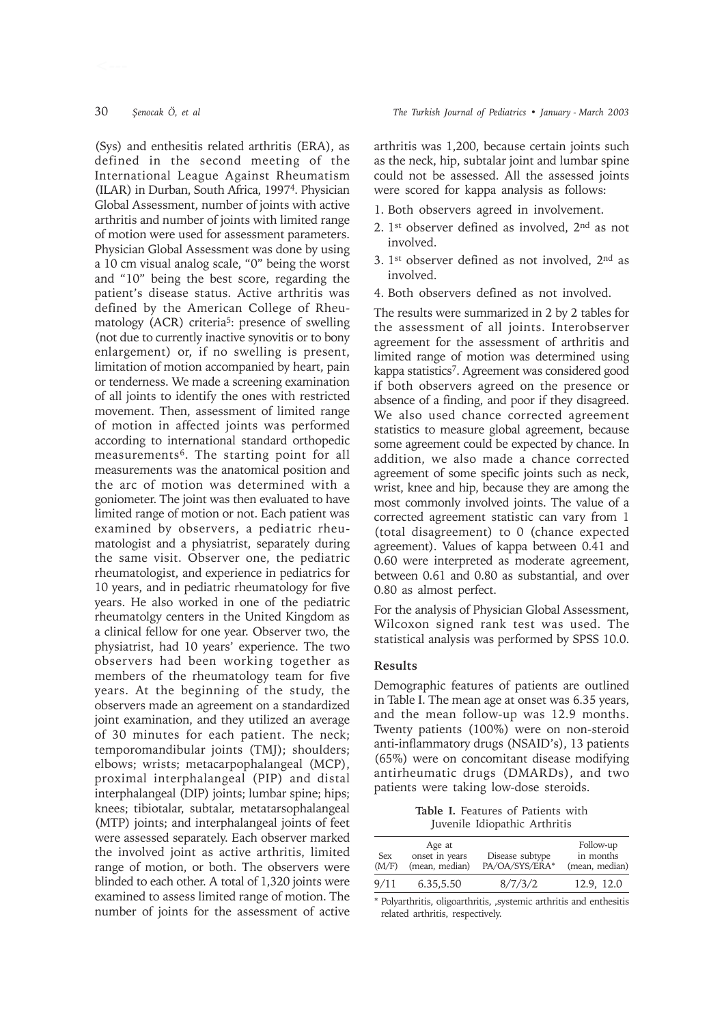(Sys) and enthesitis related arthritis (ERA), as defined in the second meeting of the International League Against Rheumatism (ILAR) in Durban, South Africa, 19974. Physician Global Assessment, number of joints with active arthritis and number of joints with limited range of motion were used for assessment parameters. Physician Global Assessment was done by using a 10 cm visual analog scale, "0" being the worst and "10" being the best score, regarding the patient's disease status. Active arthritis was defined by the American College of Rheumatology (ACR) criteria<sup>5</sup>: presence of swelling (not due to currently inactive synovitis or to bony enlargement) or, if no swelling is present, limitation of motion accompanied by heart, pain or tenderness. We made a screening examination of all joints to identify the ones with restricted movement. Then, assessment of limited range of motion in affected joints was performed according to international standard orthopedic measurements6. The starting point for all measurements was the anatomical position and the arc of motion was determined with a goniometer. The joint was then evaluated to have limited range of motion or not. Each patient was examined by observers, a pediatric rheumatologist and a physiatrist, separately during the same visit. Observer one, the pediatric rheumatologist, and experience in pediatrics for 10 years, and in pediatric rheumatology for five years. He also worked in one of the pediatric rheumatolgy centers in the United Kingdom as a clinical fellow for one year. Observer two, the physiatrist, had 10 years' experience. The two observers had been working together as members of the rheumatology team for five years. At the beginning of the study, the observers made an agreement on a standardized joint examination, and they utilized an average of 30 minutes for each patient. The neck; temporomandibular joints (TMJ); shoulders; elbows; wrists; metacarpophalangeal (MCP), proximal interphalangeal (PIP) and distal interphalangeal (DIP) joints; lumbar spine; hips; knees; tibiotalar, subtalar, metatarsophalangeal (MTP) joints; and interphalangeal joints of feet were assessed separately. Each observer marked the involved joint as active arthritis, limited range of motion, or both. The observers were blinded to each other. A total of 1,320 joints were examined to assess limited range of motion. The number of joints for the assessment of active

arthritis was 1,200, because certain joints such as the neck, hip, subtalar joint and lumbar spine could not be assessed. All the assessed joints were scored for kappa analysis as follows:

- 1. Both observers agreed in involvement.
- 2.  $1<sup>st</sup>$  observer defined as involved,  $2<sup>nd</sup>$  as not involved.
- 3. 1st observer defined as not involved, 2nd as involved.
- 4. Both observers defined as not involved.

The results were summarized in 2 by 2 tables for the assessment of all joints. Interobserver agreement for the assessment of arthritis and limited range of motion was determined using kappa statistics7. Agreement was considered good if both observers agreed on the presence or absence of a finding, and poor if they disagreed. We also used chance corrected agreement statistics to measure global agreement, because some agreement could be expected by chance. In addition, we also made a chance corrected agreement of some specific joints such as neck, wrist, knee and hip, because they are among the most commonly involved joints. The value of a corrected agreement statistic can vary from 1 (total disagreement) to 0 (chance expected agreement). Values of kappa between 0.41 and 0.60 were interpreted as moderate agreement, between 0.61 and 0.80 as substantial, and over 0.80 as almost perfect.

For the analysis of Physician Global Assessment, Wilcoxon signed rank test was used. The statistical analysis was performed by SPSS 10.0.

# **Results**

Demographic features of patients are outlined in Table I. The mean age at onset was 6.35 years, and the mean follow-up was 12.9 months. Twenty patients (100%) were on non-steroid anti-inflammatory drugs (NSAID's), 13 patients (65%) were on concomitant disease modifying antirheumatic drugs (DMARDs), and two patients were taking low-dose steroids.

**Table I.** Features of Patients with Juvenile Idiopathic Arthritis

| <b>Sex</b><br>(M/F) | Age at<br>onset in years<br>(mean, median) | Disease subtype<br>PA/OA/SYS/ERA* | Follow-up<br>in months<br>(mean, median) |
|---------------------|--------------------------------------------|-----------------------------------|------------------------------------------|
| 9/11                | 6.35,5.50                                  | 8/7/3/2                           | 12.9. 12.0                               |

\* Polyarthritis, oligoarthritis, ,systemic arthritis and enthesitis related arthritis, respectively.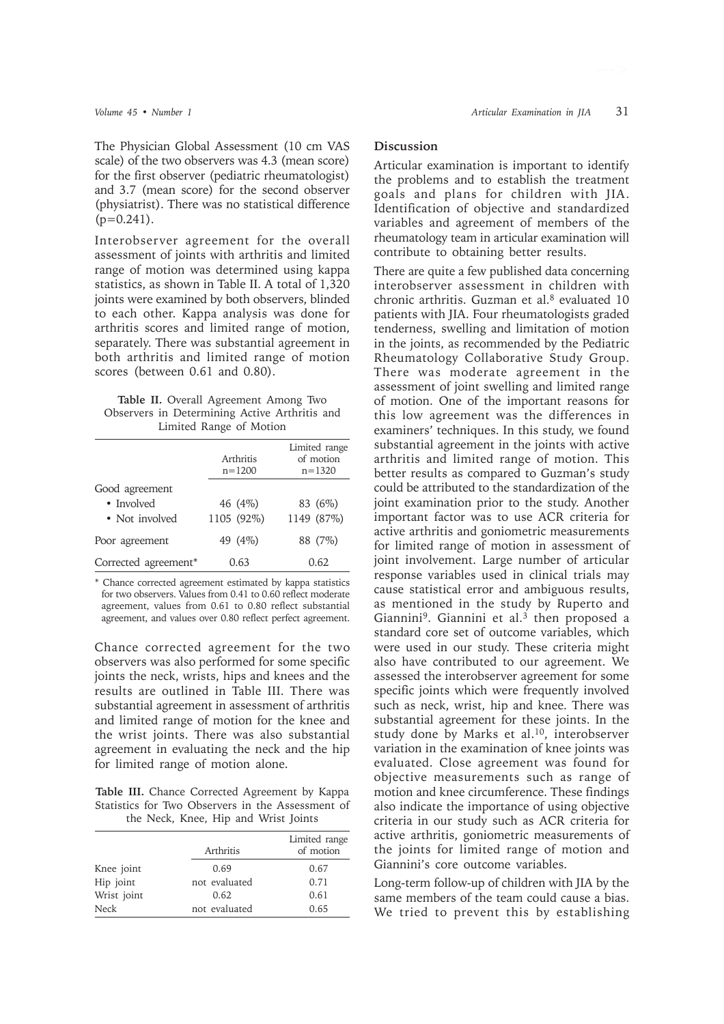The Physician Global Assessment (10 cm VAS scale) of the two observers was 4.3 (mean score) for the first observer (pediatric rheumatologist) and 3.7 (mean score) for the second observer (physiatrist). There was no statistical difference  $(p=0.241)$ .

Interobserver agreement for the overall assessment of joints with arthritis and limited range of motion was determined using kappa statistics, as shown in Table II. A total of 1,320 joints were examined by both observers, blinded to each other. Kappa analysis was done for arthritis scores and limited range of motion, separately. There was substantial agreement in both arthritis and limited range of motion scores (between 0.61 and 0.80).

| Table II. Overall Agreement Among Two         |  |
|-----------------------------------------------|--|
| Observers in Determining Active Arthritis and |  |
| Limited Range of Motion                       |  |

|                      | Arthritis<br>$n = 1200$ | Limited range<br>of motion<br>$n = 1320$ |
|----------------------|-------------------------|------------------------------------------|
| Good agreement       |                         |                                          |
| • Involved           | 46 (4%)                 | 83 (6%)                                  |
| • Not involved       | 1105 (92%)              | 1149 (87%)                               |
| Poor agreement       | 49 (4%)                 | 88 (7%)                                  |
| Corrected agreement* | 0.63                    | 0.62                                     |

\* Chance corrected agreement estimated by kappa statistics for two observers. Values from 0.41 to 0.60 reflect moderate agreement, values from 0.61 to 0.80 reflect substantial agreement, and values over 0.80 reflect perfect agreement.

Chance corrected agreement for the two observers was also performed for some specific joints the neck, wrists, hips and knees and the results are outlined in Table III. There was substantial agreement in assessment of arthritis and limited range of motion for the knee and the wrist joints. There was also substantial agreement in evaluating the neck and the hip for limited range of motion alone.

**Table III.** Chance Corrected Agreement by Kappa Statistics for Two Observers in the Assessment of the Neck, Knee, Hip and Wrist Joints

|             | Arthritis     | Limited range<br>of motion |
|-------------|---------------|----------------------------|
| Knee joint  | 0.69          | 0.67                       |
| Hip joint   | not evaluated | 0.71                       |
| Wrist joint | 0.62          | 0.61                       |
| <b>Neck</b> | not evaluated | 0.65                       |

## **Discussion**

Articular examination is important to identify the problems and to establish the treatment goals and plans for children with JIA. Identification of objective and standardized variables and agreement of members of the rheumatology team in articular examination will contribute to obtaining better results.

There are quite a few published data concerning interobserver assessment in children with chronic arthritis. Guzman et al.8 evaluated 10 patients with JIA. Four rheumatologists graded tenderness, swelling and limitation of motion in the joints, as recommended by the Pediatric Rheumatology Collaborative Study Group. There was moderate agreement in the assessment of joint swelling and limited range of motion. One of the important reasons for this low agreement was the differences in examiners' techniques. In this study, we found substantial agreement in the joints with active arthritis and limited range of motion. This better results as compared to Guzman's study could be attributed to the standardization of the joint examination prior to the study. Another important factor was to use ACR criteria for active arthritis and goniometric measurements for limited range of motion in assessment of joint involvement. Large number of articular response variables used in clinical trials may cause statistical error and ambiguous results, as mentioned in the study by Ruperto and Giannini<sup>9</sup>. Giannini et al.<sup>3</sup> then proposed a standard core set of outcome variables, which were used in our study. These criteria might also have contributed to our agreement. We assessed the interobserver agreement for some specific joints which were frequently involved such as neck, wrist, hip and knee. There was substantial agreement for these joints. In the study done by Marks et al.10, interobserver variation in the examination of knee joints was evaluated. Close agreement was found for objective measurements such as range of motion and knee circumference. These findings also indicate the importance of using objective criteria in our study such as ACR criteria for active arthritis, goniometric measurements of the joints for limited range of motion and Giannini's core outcome variables.

Long-term follow-up of children with JIA by the same members of the team could cause a bias. We tried to prevent this by establishing